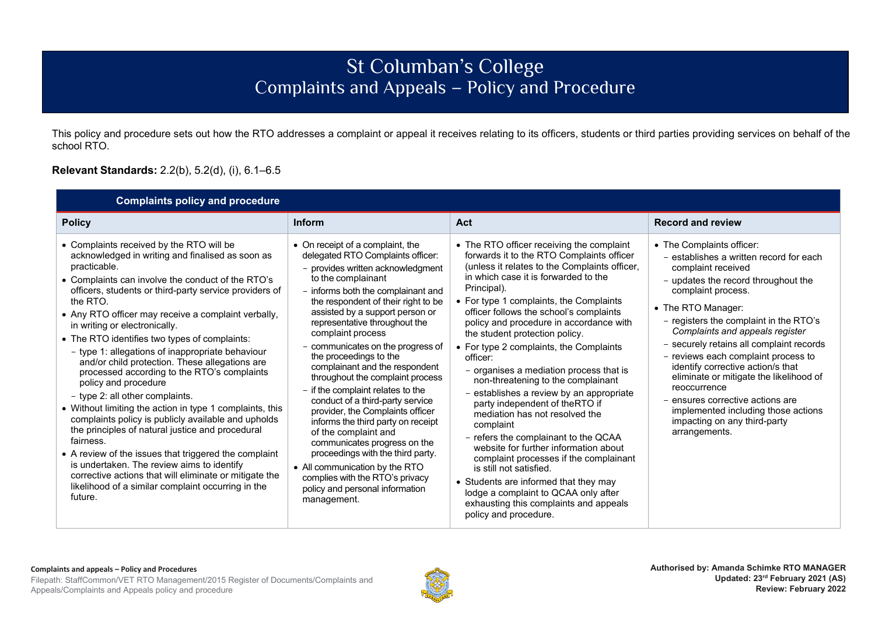## St Columban's College Complaints and Appeals – Policy and Procedure

This policy and procedure sets out how the RTO addresses a complaint or appeal it receives relating to its officers, students or third parties providing services on behalf of the school RTO.

## **Relevant Standards:** 2.2(b), 5.2(d), (i), 6.1–6.5

| <b>Complaints policy and procedure</b>                                                                                                                                                                                                                                                                                                                                                                                                                                                                                                                                                                                                                                                                                                                                                                                                                                                                                                                                                                                 |                                                                                                                                                                                                                                                                                                                                                                                                                                                                                                                                                                                                                                                                                                                                                                                                                    |                                                                                                                                                                                                                                                                                                                                                                                                                                                                                                                                                                                                                                                                                                                                                                                                                                                                                                                                                  |                                                                                                                                                                                                                                                                                                                                                                                                                                                                                                                                                                           |  |  |  |
|------------------------------------------------------------------------------------------------------------------------------------------------------------------------------------------------------------------------------------------------------------------------------------------------------------------------------------------------------------------------------------------------------------------------------------------------------------------------------------------------------------------------------------------------------------------------------------------------------------------------------------------------------------------------------------------------------------------------------------------------------------------------------------------------------------------------------------------------------------------------------------------------------------------------------------------------------------------------------------------------------------------------|--------------------------------------------------------------------------------------------------------------------------------------------------------------------------------------------------------------------------------------------------------------------------------------------------------------------------------------------------------------------------------------------------------------------------------------------------------------------------------------------------------------------------------------------------------------------------------------------------------------------------------------------------------------------------------------------------------------------------------------------------------------------------------------------------------------------|--------------------------------------------------------------------------------------------------------------------------------------------------------------------------------------------------------------------------------------------------------------------------------------------------------------------------------------------------------------------------------------------------------------------------------------------------------------------------------------------------------------------------------------------------------------------------------------------------------------------------------------------------------------------------------------------------------------------------------------------------------------------------------------------------------------------------------------------------------------------------------------------------------------------------------------------------|---------------------------------------------------------------------------------------------------------------------------------------------------------------------------------------------------------------------------------------------------------------------------------------------------------------------------------------------------------------------------------------------------------------------------------------------------------------------------------------------------------------------------------------------------------------------------|--|--|--|
| <b>Policy</b>                                                                                                                                                                                                                                                                                                                                                                                                                                                                                                                                                                                                                                                                                                                                                                                                                                                                                                                                                                                                          | <b>Inform</b>                                                                                                                                                                                                                                                                                                                                                                                                                                                                                                                                                                                                                                                                                                                                                                                                      | Act                                                                                                                                                                                                                                                                                                                                                                                                                                                                                                                                                                                                                                                                                                                                                                                                                                                                                                                                              | <b>Record and review</b>                                                                                                                                                                                                                                                                                                                                                                                                                                                                                                                                                  |  |  |  |
| • Complaints received by the RTO will be<br>acknowledged in writing and finalised as soon as<br>practicable.<br>• Complaints can involve the conduct of the RTO's<br>officers, students or third-party service providers of<br>the RTO.<br>• Any RTO officer may receive a complaint verbally,<br>in writing or electronically.<br>• The RTO identifies two types of complaints:<br>- type 1: allegations of inappropriate behaviour<br>and/or child protection. These allegations are<br>processed according to the RTO's complaints<br>policy and procedure<br>- type 2: all other complaints.<br>• Without limiting the action in type 1 complaints, this<br>complaints policy is publicly available and upholds<br>the principles of natural justice and procedural<br>fairness.<br>• A review of the issues that triggered the complaint<br>is undertaken. The review aims to identify<br>corrective actions that will eliminate or mitigate the<br>likelihood of a similar complaint occurring in the<br>future. | • On receipt of a complaint, the<br>delegated RTO Complaints officer:<br>- provides written acknowledgment<br>to the complainant<br>- informs both the complainant and<br>the respondent of their right to be<br>assisted by a support person or<br>representative throughout the<br>complaint process<br>- communicates on the progress of<br>the proceedings to the<br>complainant and the respondent<br>throughout the complaint process<br>- if the complaint relates to the<br>conduct of a third-party service<br>provider, the Complaints officer<br>informs the third party on receipt<br>of the complaint and<br>communicates progress on the<br>proceedings with the third party.<br>• All communication by the RTO<br>complies with the RTO's privacy<br>policy and personal information<br>management. | • The RTO officer receiving the complaint<br>forwards it to the RTO Complaints officer<br>(unless it relates to the Complaints officer,<br>in which case it is forwarded to the<br>Principal).<br>• For type 1 complaints, the Complaints<br>officer follows the school's complaints<br>policy and procedure in accordance with<br>the student protection policy.<br>• For type 2 complaints, the Complaints<br>officer:<br>- organises a mediation process that is<br>non-threatening to the complainant<br>- establishes a review by an appropriate<br>party independent of theRTO if<br>mediation has not resolved the<br>complaint<br>- refers the complainant to the QCAA<br>website for further information about<br>complaint processes if the complainant<br>is still not satisfied.<br>• Students are informed that they may<br>lodge a complaint to QCAA only after<br>exhausting this complaints and appeals<br>policy and procedure. | • The Complaints officer:<br>- establishes a written record for each<br>complaint received<br>- updates the record throughout the<br>complaint process.<br>• The RTO Manager:<br>- registers the complaint in the RTO's<br>Complaints and appeals register<br>- securely retains all complaint records<br>- reviews each complaint process to<br>identify corrective action/s that<br>eliminate or mitigate the likelihood of<br>reoccurrence<br>– ensures corrective actions are<br>implemented including those actions<br>impacting on any third-party<br>arrangements. |  |  |  |

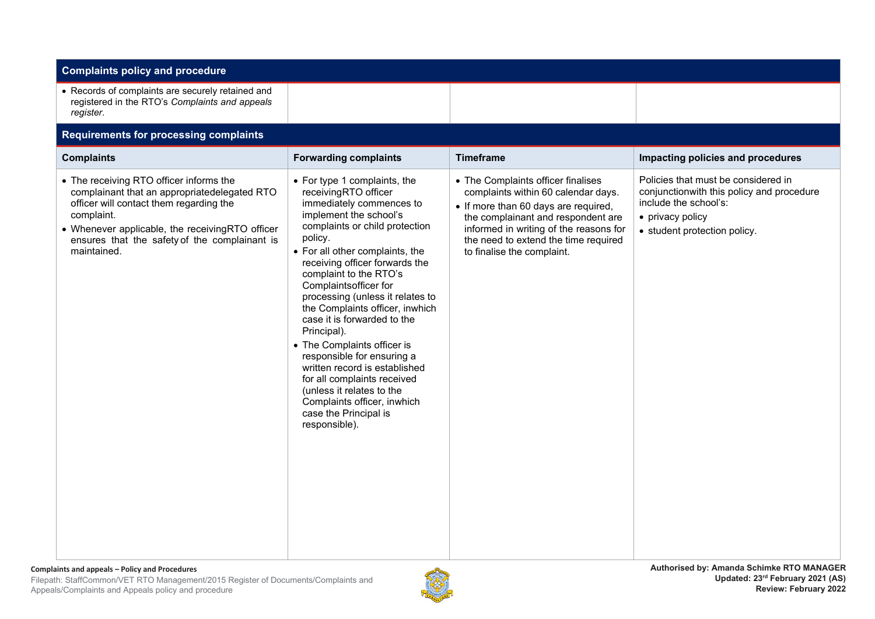| <b>Complaints policy and procedure</b>                                                                                                                                                                                                                              |                                                                                                                                                                                                                                                                                                                                                                                                                                                                                                                                                                                                                                         |                                                                                                                                                                                                                                                                         |                                                                                                                                                               |  |  |  |  |
|---------------------------------------------------------------------------------------------------------------------------------------------------------------------------------------------------------------------------------------------------------------------|-----------------------------------------------------------------------------------------------------------------------------------------------------------------------------------------------------------------------------------------------------------------------------------------------------------------------------------------------------------------------------------------------------------------------------------------------------------------------------------------------------------------------------------------------------------------------------------------------------------------------------------------|-------------------------------------------------------------------------------------------------------------------------------------------------------------------------------------------------------------------------------------------------------------------------|---------------------------------------------------------------------------------------------------------------------------------------------------------------|--|--|--|--|
| • Records of complaints are securely retained and<br>registered in the RTO's Complaints and appeals<br>register.                                                                                                                                                    |                                                                                                                                                                                                                                                                                                                                                                                                                                                                                                                                                                                                                                         |                                                                                                                                                                                                                                                                         |                                                                                                                                                               |  |  |  |  |
| <b>Requirements for processing complaints</b>                                                                                                                                                                                                                       |                                                                                                                                                                                                                                                                                                                                                                                                                                                                                                                                                                                                                                         |                                                                                                                                                                                                                                                                         |                                                                                                                                                               |  |  |  |  |
| <b>Complaints</b>                                                                                                                                                                                                                                                   | <b>Forwarding complaints</b>                                                                                                                                                                                                                                                                                                                                                                                                                                                                                                                                                                                                            | <b>Timeframe</b>                                                                                                                                                                                                                                                        | Impacting policies and procedures                                                                                                                             |  |  |  |  |
| • The receiving RTO officer informs the<br>complainant that an appropriatedelegated RTO<br>officer will contact them regarding the<br>complaint.<br>• Whenever applicable, the receivingRTO officer<br>ensures that the safety of the complainant is<br>maintained. | • For type 1 complaints, the<br>receivingRTO officer<br>immediately commences to<br>implement the school's<br>complaints or child protection<br>policy.<br>• For all other complaints, the<br>receiving officer forwards the<br>complaint to the RTO's<br>Complaintsofficer for<br>processing (unless it relates to<br>the Complaints officer, inwhich<br>case it is forwarded to the<br>Principal).<br>• The Complaints officer is<br>responsible for ensuring a<br>written record is established<br>for all complaints received<br>(unless it relates to the<br>Complaints officer, inwhich<br>case the Principal is<br>responsible). | • The Complaints officer finalises<br>complaints within 60 calendar days.<br>• If more than 60 days are required,<br>the complainant and respondent are<br>informed in writing of the reasons for<br>the need to extend the time required<br>to finalise the complaint. | Policies that must be considered in<br>conjunctionwith this policy and procedure<br>include the school's:<br>• privacy policy<br>• student protection policy. |  |  |  |  |

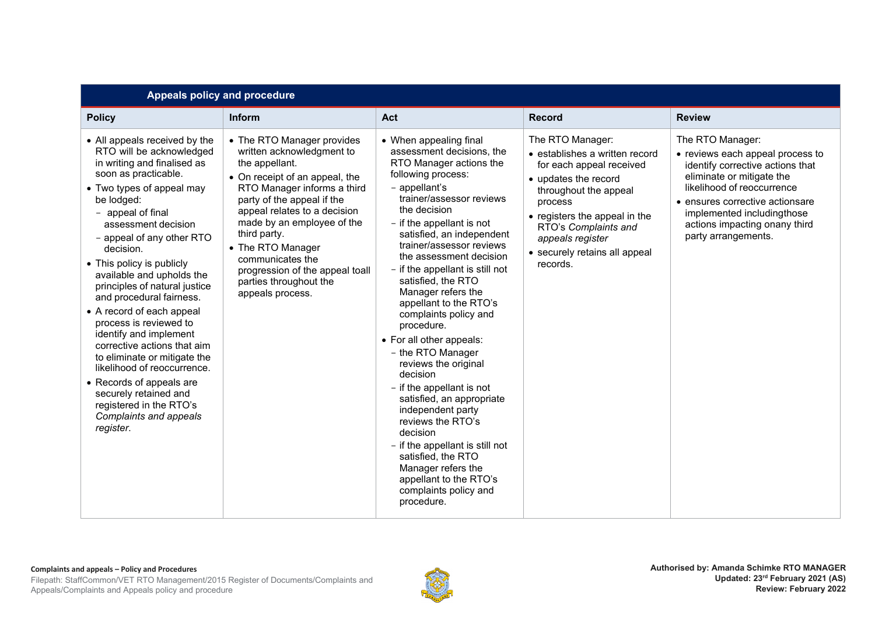| Appeals policy and procedure                                                                                                                                                                                                                                                                                                                                                                                                                                                                                                                                                                                                                                                   |                                                                                                                                                                                                                                                                                                                                                                                  |                                                                                                                                                                                                                                                                                                                                                                                                                                                                                                                                                                                                                                                                                                                                                                                         |                                                                                                                                                                                                                                                                      |                                                                                                                                                                                                                                                                               |  |
|--------------------------------------------------------------------------------------------------------------------------------------------------------------------------------------------------------------------------------------------------------------------------------------------------------------------------------------------------------------------------------------------------------------------------------------------------------------------------------------------------------------------------------------------------------------------------------------------------------------------------------------------------------------------------------|----------------------------------------------------------------------------------------------------------------------------------------------------------------------------------------------------------------------------------------------------------------------------------------------------------------------------------------------------------------------------------|-----------------------------------------------------------------------------------------------------------------------------------------------------------------------------------------------------------------------------------------------------------------------------------------------------------------------------------------------------------------------------------------------------------------------------------------------------------------------------------------------------------------------------------------------------------------------------------------------------------------------------------------------------------------------------------------------------------------------------------------------------------------------------------------|----------------------------------------------------------------------------------------------------------------------------------------------------------------------------------------------------------------------------------------------------------------------|-------------------------------------------------------------------------------------------------------------------------------------------------------------------------------------------------------------------------------------------------------------------------------|--|
| <b>Policy</b>                                                                                                                                                                                                                                                                                                                                                                                                                                                                                                                                                                                                                                                                  | <b>Inform</b>                                                                                                                                                                                                                                                                                                                                                                    | <b>Act</b>                                                                                                                                                                                                                                                                                                                                                                                                                                                                                                                                                                                                                                                                                                                                                                              | <b>Record</b>                                                                                                                                                                                                                                                        | <b>Review</b>                                                                                                                                                                                                                                                                 |  |
| • All appeals received by the<br>RTO will be acknowledged<br>in writing and finalised as<br>soon as practicable.<br>• Two types of appeal may<br>be lodged:<br>- appeal of final<br>assessment decision<br>- appeal of any other RTO<br>decision.<br>• This policy is publicly<br>available and upholds the<br>principles of natural justice<br>and procedural fairness.<br>• A record of each appeal<br>process is reviewed to<br>identify and implement<br>corrective actions that aim<br>to eliminate or mitigate the<br>likelihood of reoccurrence.<br>• Records of appeals are<br>securely retained and<br>registered in the RTO's<br>Complaints and appeals<br>register. | • The RTO Manager provides<br>written acknowledgment to<br>the appellant.<br>• On receipt of an appeal, the<br>RTO Manager informs a third<br>party of the appeal if the<br>appeal relates to a decision<br>made by an employee of the<br>third party.<br>• The RTO Manager<br>communicates the<br>progression of the appeal toall<br>parties throughout the<br>appeals process. | • When appealing final<br>assessment decisions, the<br>RTO Manager actions the<br>following process:<br>- appellant's<br>trainer/assessor reviews<br>the decision<br>- if the appellant is not<br>satisfied, an independent<br>trainer/assessor reviews<br>the assessment decision<br>- if the appellant is still not<br>satisfied, the RTO<br>Manager refers the<br>appellant to the RTO's<br>complaints policy and<br>procedure.<br>• For all other appeals:<br>- the RTO Manager<br>reviews the original<br>decision<br>- if the appellant is not<br>satisfied, an appropriate<br>independent party<br>reviews the RTO's<br>decision<br>- if the appellant is still not<br>satisfied, the RTO<br>Manager refers the<br>appellant to the RTO's<br>complaints policy and<br>procedure. | The RTO Manager:<br>• establishes a written record<br>for each appeal received<br>• updates the record<br>throughout the appeal<br>process<br>• registers the appeal in the<br>RTO's Complaints and<br>appeals register<br>• securely retains all appeal<br>records. | The RTO Manager:<br>• reviews each appeal process to<br>identify corrective actions that<br>eliminate or mitigate the<br>likelihood of reoccurrence<br>• ensures corrective actionsare<br>implemented including those<br>actions impacting onany third<br>party arrangements. |  |